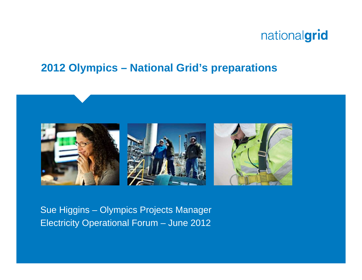#### **2012 Olympics – National Grid's preparations**



Sue Higgins – Olympics Projects Manager Electricity Operational Forum – June 2012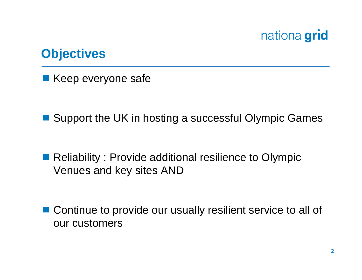

#### **Objectives**

Keep everyone safe

■ Support the UK in hosting a successful Olympic Games

■ Reliability : Provide additional resilience to Olympic Venues and key sites AND

■ Continue to provide our usually resilient service to all of our customers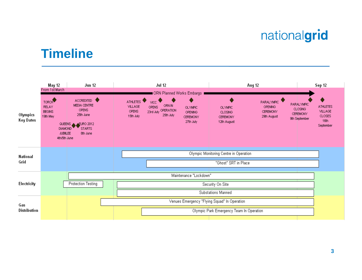#### **Timeline**

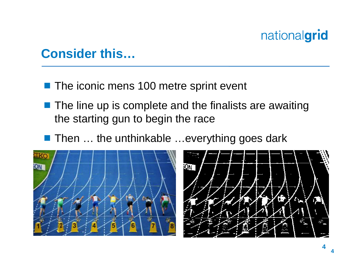#### **Consider this…**

- **The iconic mens 100 metre sprint event**
- $\blacksquare$  The line up is complete and the finalists are awaiting the starting gun to begin the race
- Then ... the unthinkable ...everything goes dark





**4**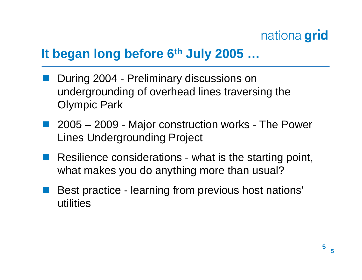#### **It began long before 6th July 2005 …**

- During 2004 Preliminary discussions on undergrounding of overhead lines traversing the Olympic Park
- 2005 2009 Major construction works The Power Lines Undergrounding Project
- ■ Resilience considerations - what is the starting point, what makes you do anything more than usual?
- Best practice learning from previous host nations' utilities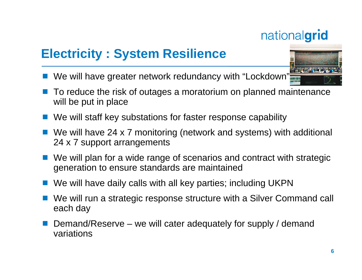## **Electricity : System Resilience**

- We will have greater network redundancy with "Lockdown"
- To reduce the risk of outages a moratorium on planned maintenance will be put in place
- We will staff key substations for faster response capability
- We will have 24 x 7 monitoring (network and systems) with additional 24 x 7 support arrangements
- We will plan for a wide range of scenarios and contract with strategic generation to ensure standards are maintained
- We will have daily calls with all key parties; including UKPN
- We will run a strategic response structure with a Silver Command call each day
- Demand/Reserve we will cater adequately for supply / demand variations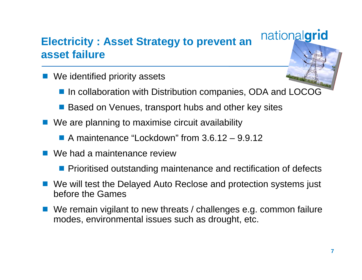#### **Electricity : Asset Strategy to prevent an asset failure**

- We identified priority assets
	- In collaboration with Distribution companies, ODA and LOCOG
	- Based on Venues, transport hubs and other key sites
- We are planning to maximise circuit availability
	- A maintenance "Lockdown" from 3.6.12 9.9.12
- We had a maintenance review
	- **Prioritised outstanding maintenance and rectification of defects**
- We will test the Delayed Auto Reclose and protection systems just before the Games
- We remain vigilant to new threats / challenges e.g. common failure modes, environmental issues such as drought, etc.

nationalgrid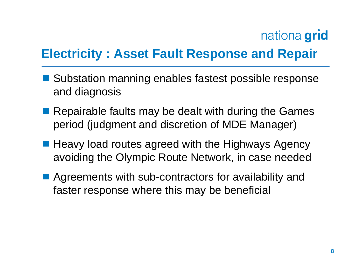### **Electricity : Asset Fault Response and Repair**

- Substation manning enables fastest possible response and diagnosis
- Repairable faults may be dealt with during the Games period (judgment and discretion of MDE Manager)
- Heavy load routes agreed with the Highways Agency avoiding the Olympic Route Network, in case needed
- Agreements with sub-contractors for availability and faster response where this may be beneficial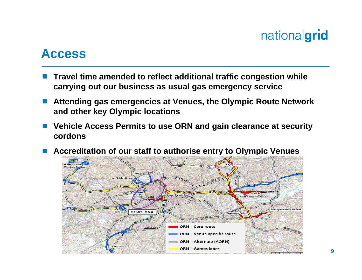#### **Access**

- p. **Travel time amended to reflect additional traffic congestion while carrying out our business as usual gas emergency service**
- M. **Attending gas emergencies at Venues, the Olympic Route Network and other key Olympic locations**
- b. **Vehicle Access Permits to use ORN and gain clearance at security cordons**
- p. **Accreditation of our staff to authorise entry to Olympic Venues**

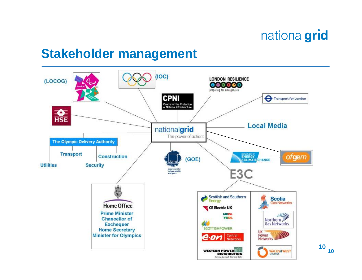**10**

#### **Stakeholder management**